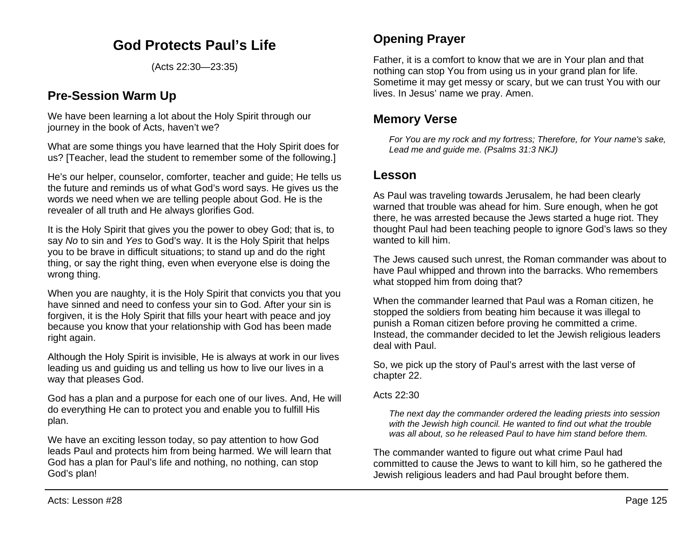# **God Protects Paul's Life**

(Acts 22:30—23:35)

## **Pre-Session Warm Up**

We have been learning a lot about the Holy Spirit through our journey in the book of Acts, haven't we?

What are some things you have learned that the Holy Spirit does for us? [Teacher, lead the student to remember some of the following.]

He's our helper, counselor, comforter, teacher and guide; He tells us the future and reminds us of what God's word says. He gives us the words we need when we are telling people about God. He is the revealer of all truth and He always glorifies God.

It is the Holy Spirit that gives you the power to obey God; that is, to say *No* to sin and *Yes* to God's way. It is the Holy Spirit that helps you to be brave in difficult situations; to stand up and do the right thing, or say the right thing, even when everyone else is doing the wrong thing.

When you are naughty, it is the Holy Spirit that convicts you that you have sinned and need to confess your sin to God. After your sin is forgiven, it is the Holy Spirit that fills your heart with peace and joy because you know that your relationship with God has been made right again.

Although the Holy Spirit is invisible, He is always at work in our lives leading us and guiding us and telling us how to live our lives in a way that pleases God.

God has a plan and a purpose for each one of our lives. And, He will do everything He can to protect you and enable you to fulfill His plan.

We have an exciting lesson today, so pay attention to how God leads Paul and protects him from being harmed. We will learn that God has a plan for Paul's life and nothing, no nothing, can stop God's plan!

## **Opening Prayer**

Father, it is a comfort to know that we are in Your plan and that nothing can stop You from using us in your grand plan for life. Sometime it may get messy or scary, but we can trust You with our lives. In Jesus' name we pray. Amen.

### **Memory Verse**

*For You are my rock and my fortress; Therefore, for Your name's sake, Lead me and guide me. (Psalms 31:3 NKJ)*

### **Lesson**

As Paul was traveling towards Jerusalem, he had been clearly warned that trouble was ahead for him. Sure enough, when he got there, he was arrested because the Jews started a huge riot. They thought Paul had been teaching people to ignore God's laws so they wanted to kill him.

The Jews caused such unrest, the Roman commander was about to have Paul whipped and thrown into the barracks. Who remembers what stopped him from doing that?

When the commander learned that Paul was a Roman citizen, he stopped the soldiers from beating him because it was illegal to punish a Roman citizen before proving he committed a crime. Instead, the commander decided to let the Jewish religious leaders deal with Paul.

So, we pick up the story of Paul's arrest with the last verse of chapter 22.

#### Acts 22:30

*The next day the commander ordered the leading priests into session with the Jewish high council. He wanted to find out what the trouble was all about, so he released Paul to have him stand before them.*

The commander wanted to figure out what crime Paul had committed to cause the Jews to want to kill him, so he gathered the Jewish religious leaders and had Paul brought before them.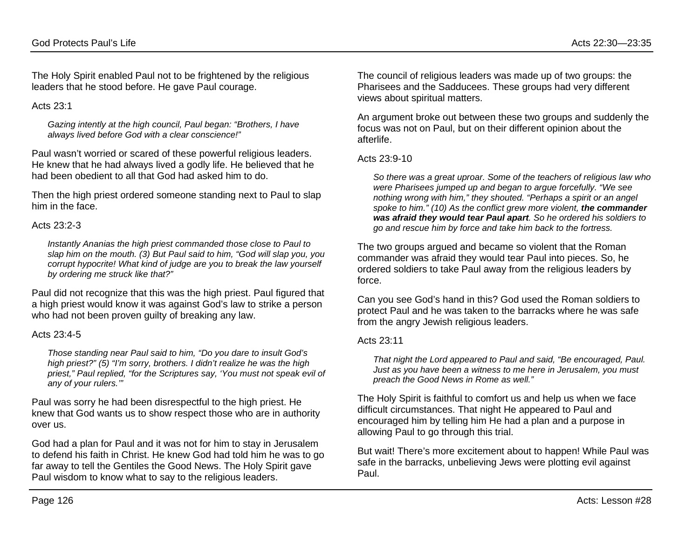The Holy Spirit enabled Paul not to be frightened by the religious leaders that he stood before. He gave Paul courage.

Acts  $23.1$ 

*Gazing intently at the high council, Paul began: "Brothers, I have always lived before God with a clear conscience!"*

Paul wasn't worried or scared of these powerful religious leaders. He knew that he had always lived a godly life. He believed that he had been obedient to all that God had asked him to do.

Then the high priest ordered someone standing next to Paul to slap him in the face.

#### Acts 23:2-3

*Instantly Ananias the high priest commanded those close to Paul to slap him on the mouth. (3) But Paul said to him, "God will slap you, you corrupt hypocrite! What kind of judge are you to break the law yourself by ordering me struck like that?"*

Paul did not recognize that this was the high priest. Paul figured that a high priest would know it was against God's law to strike a person who had not been proven guilty of breaking any law.

#### Acts 23:4-5

*Those standing near Paul said to him, "Do you dare to insult God's high priest?" (5) "I'm sorry, brothers. I didn't realize he was the high priest," Paul replied, "for the Scriptures say, 'You must not speak evil of any of your rulers.'"*

Paul was sorry he had been disrespectful to the high priest. He knew that God wants us to show respect those who are in authority over us.

God had a plan for Paul and it was not for him to stay in Jerusalem to defend his faith in Christ. He knew God had told him he was to go far away to tell the Gentiles the Good News. The Holy Spirit gave Paul wisdom to know what to say to the religious leaders.

The council of religious leaders was made up of two groups: the Pharisees and the Sadducees. These groups had very different views about spiritual matters.

An argument broke out between these two groups and suddenly the focus was not on Paul, but on their different opinion about the afterlife.

#### Acts 23:9-10

*So there was a great uproar. Some of the teachers of religious law who were Pharisees jumped up and began to argue forcefully. "We see nothing wrong with him," they shouted. "Perhaps a spirit or an angel spoke to him." (10) As the conflict grew more violent, the commander was afraid they would tear Paul apart. So he ordered his soldiers to go and rescue him by force and take him back to the fortress.*

The two groups argued and became so violent that the Roman commander was afraid they would tear Paul into pieces. So, he ordered soldiers to take Paul away from the religious leaders by force.

Can you see God's hand in this? God used the Roman soldiers to protect Paul and he was taken to the barracks where he was safe from the angry Jewish religious leaders.

#### Acts 23:11

*That night the Lord appeared to Paul and said, "Be encouraged, Paul. Just as you have been a witness to me here in Jerusalem, you must preach the Good News in Rome as well."*

The Holy Spirit is faithful to comfort us and help us when we face difficult circumstances. That night He appeared to Paul and encouraged him by telling him He had a plan and a purpose in allowing Paul to go through this trial.

But wait! There's more excitement about to happen! While Paul was safe in the barracks, unbelieving Jews were plotting evil against Paul.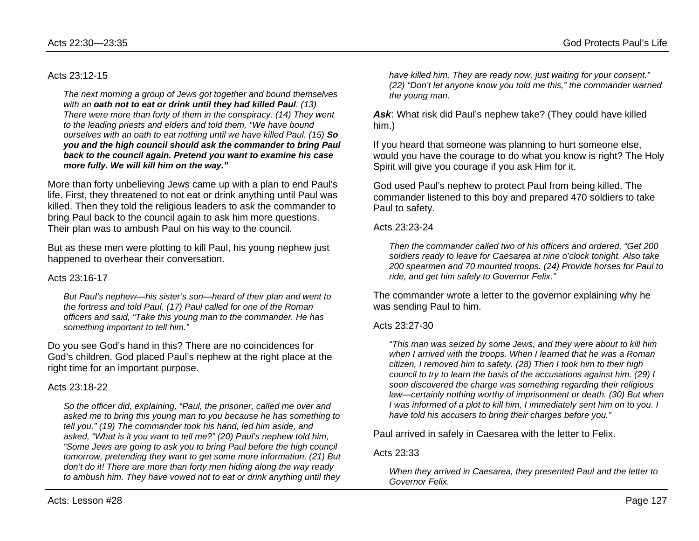#### Acts 23:12-15

*The next morning a group of Jews got together and bound themselves with an oath not to eat or drink until they had killed Paul. (13) There were more than forty of them in the conspiracy. (14) They went to the leading priests and elders and told them, "We have bound ourselves with an oath to eat nothing until we have killed Paul. (15) So you and the high council should ask the commander to bring Paul back to the council again. Pretend you want to examine his case more fully. We will kill him on the way."*

More than forty unbelieving Jews came up with a plan to end Paul's life. First, they threatened to not eat or drink anything until Paul was killed. Then they told the religious leaders to ask the commander to bring Paul back to the council again to ask him more questions. Their plan was to ambush Paul on his way to the council.

But as these men were plotting to kill Paul, his young nephew just happened to overhear their conversation.

#### Acts 23:16-17

*But Paul's nephew—his sister's son—heard of their plan and went to the fortress and told Paul. (17) Paul called for one of the Roman officers and said, "Take this young man to the commander. He has something important to tell him."*

Do you see God's hand in this? There are no coincidences for God's children. God placed Paul's nephew at the right place at the right time for an important purpose.

#### Acts 23:18-22

*So the officer did, explaining, "Paul, the prisoner, called me over and asked me to bring this young man to you because he has something to tell you." (19) The commander took his hand, led him aside, and asked, "What is it you want to tell me?" (20) Paul's nephew told him, "Some Jews are going to ask you to bring Paul before the high council tomorrow, pretending they want to get some more information. (21) But don't do it! There are more than forty men hiding along the way ready to ambush him. They have vowed not to eat or drink anything until they* 

*have killed him. They are ready now, just waiting for your consent." (22) "Don't let anyone know you told me this," the commander warned the young man.*

*Ask*: What risk did Paul's nephew take? (They could have killed him.)

If you heard that someone was planning to hurt someone else, would you have the courage to do what you know is right? The Holy Spirit will give you courage if you ask Him for it.

God used Paul's nephew to protect Paul from being killed. The commander listened to this boy and prepared 470 soldiers to take Paul to safety.

#### Acts 23:23-24

*Then the commander called two of his officers and ordered, "Get 200 soldiers ready to leave for Caesarea at nine o'clock tonight. Also take 200 spearmen and 70 mounted troops. (24) Provide horses for Paul to ride, and get him safely to Governor Felix."*

The commander wrote a letter to the governor explaining why he was sending Paul to him.

#### Acts 23:27-30

*"This man was seized by some Jews, and they were about to kill him when I arrived with the troops. When I learned that he was a Roman citizen, I removed him to safety. (28) Then I took him to their high council to try to learn the basis of the accusations against him. (29) I soon discovered the charge was something regarding their religious law—certainly nothing worthy of imprisonment or death. (30) But when I* was informed of a plot to kill him, I immediately sent him on to you. I *have told his accusers to bring their charges before you."*

Paul arrived in safely in Caesarea with the letter to Felix.

#### Acts 23:33

*When they arrived in Caesarea, they presented Paul and the letter to Governor Felix.*